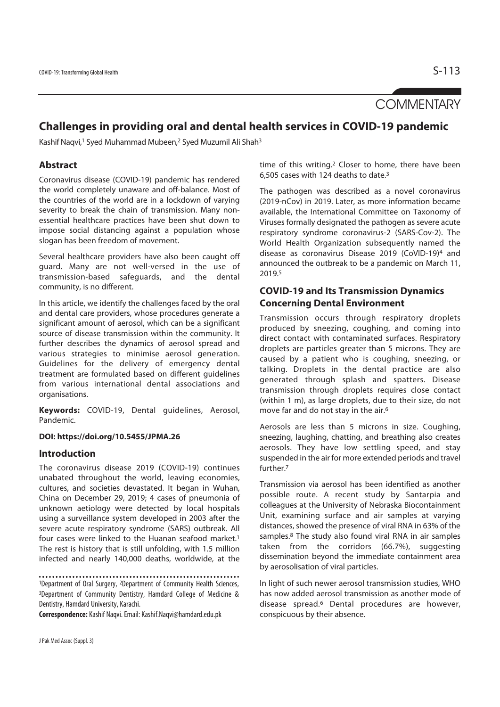**COMMENTARY** 

# **Challenges in providing oral and dental health services in COVID-19 pandemic**

Kashif Naqvi,<sup>1</sup> Syed Muhammad Mubeen,<sup>2</sup> Syed Muzumil Ali Shah<sup>3</sup>

# **Abstract**

Coronavirus disease (COVID-19) pandemic has rendered the world completely unaware and off-balance. Most of the countries of the world are in a lockdown of varying severity to break the chain of transmission. Many nonessential healthcare practices have been shut down to impose social distancing against a population whose slogan has been freedom of movement.

Several healthcare providers have also been caught off guard. Many are not well-versed in the use of transmission-based safeguards, and the dental community, is no different.

In this article, we identify the challenges faced by the oral and dental care providers, whose procedures generate a significant amount of aerosol, which can be a significant source of disease transmission within the community. It further describes the dynamics of aerosol spread and various strategies to minimise aerosol generation. Guidelines for the delivery of emergency dental treatment are formulated based on different guidelines from various international dental associations and organisations.

**Keywords:** COVID-19, Dental guidelines, Aerosol, Pandemic.

## **DOI: https://doi.org/10.5455/JPMA.26**

# **Introduction**

The coronavirus disease 2019 (COVID-19) continues unabated throughout the world, leaving economies, cultures, and societies devastated. It began in Wuhan, China on December 29, 2019; 4 cases of pneumonia of unknown aetiology were detected by local hospitals using a surveillance system developed in 2003 after the severe acute respiratory syndrome (SARS) outbreak. All four cases were linked to the Huanan seafood market.1 The rest is history that is still unfolding, with 1.5 million infected and nearly 140,000 deaths, worldwide, at the

**Correspondence:** Kashif Naqvi. Email: Kashif.Naqvi@hamdard.edu.pk

time of this writing.2 Closer to home, there have been 6,505 cases with 124 deaths to date.3

The pathogen was described as a novel coronavirus (2019-nCov) in 2019. Later, as more information became available, the International Committee on Taxonomy of Viruses formally designated the pathogen as severe acute respiratory syndrome coronavirus-2 (SARS-Cov-2). The World Health Organization subsequently named the disease as coronavirus Disease 2019 (CoVID-19)4 and announced the outbreak to be a pandemic on March 11, 2019.5

# **COVID-19 and Its Transmission Dynamics Concerning Dental Environment**

Transmission occurs through respiratory droplets produced by sneezing, coughing, and coming into direct contact with contaminated surfaces. Respiratory droplets are particles greater than 5 microns. They are caused by a patient who is coughing, sneezing, or talking. Droplets in the dental practice are also generated through splash and spatters. Disease transmission through droplets requires close contact (within 1 m), as large droplets, due to their size, do not move far and do not stay in the air.6

Aerosols are less than 5 microns in size. Coughing, sneezing, laughing, chatting, and breathing also creates aerosols. They have low settling speed, and stay suspended in the air for more extended periods and travel further.7

Transmission via aerosol has been identified as another possible route. A recent study by Santarpia and colleagues at the University of Nebraska Biocontainment Unit, examining surface and air samples at varying distances, showed the presence of viral RNA in 63% of the samples.8 The study also found viral RNA in air samples taken from the corridors (66.7%), suggesting dissemination beyond the immediate containment area by aerosolisation of viral particles.

In light of such newer aerosol transmission studies, WHO has now added aerosol transmission as another mode of disease spread.6 Dental procedures are however, conspicuous by their absence.

<sup>1</sup>Department of Oral Surgery, 2Department of Community Health Sciences, 3Department of Community Dentistry, Hamdard College of Medicine & Dentistry, Hamdard University, Karachi.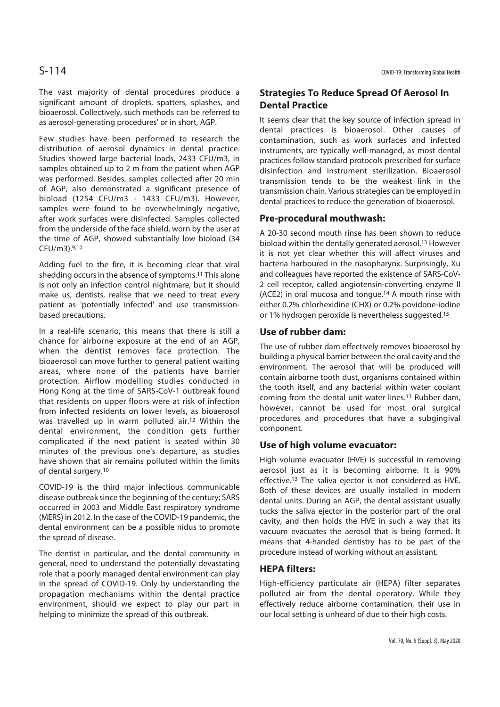The vast majority of dental procedures produce a significant amount of droplets, spatters, splashes, and bioaerosol. Collectively, such methods can be referred to as aerosol-generating procedures' or in short, AGP.

Few studies have been performed to research the distribution of aerosol dynamics in dental practice. Studies showed large bacterial loads, 2433 CFU/m3, in samples obtained up to 2 m from the patient when AGP was performed. Besides, samples collected after 20 min of AGP, also demonstrated a significant presence of bioload (1254 CFU/m3 - 1433 CFU/m3). However, samples were found to be overwhelmingly negative, after work surfaces were disinfected. Samples collected from the underside of the face shield, worn by the user at the time of AGP, showed substantially low bioload (34 CFU/m3).9,10

Adding fuel to the fire, it is becoming clear that viral shedding occurs in the absence of symptoms.11 This alone is not only an infection control nightmare, but it should make us, dentists, realise that we need to treat every patient as 'potentially infected' and use transmissionbased precautions.

In a real-life scenario, this means that there is still a chance for airborne exposure at the end of an AGP, when the dentist removes face protection. The bioaerosol can move further to general patient waiting areas, where none of the patients have barrier protection. Airflow modelling studies conducted in Hong Kong at the time of SARS-CoV-1 outbreak found that residents on upper floors were at risk of infection from infected residents on lower levels, as bioaerosol was travelled up in warm polluted air.12 Within the dental environment, the condition gets further complicated if the next patient is seated within 30 minutes of the previous one's departure, as studies have shown that air remains polluted within the limits of dental surgery.10

COVID-19 is the third major infectious communicable disease outbreak since the beginning of the century; SARS occurred in 2003 and Middle East respiratory syndrome (MERS) in 2012. In the case of the COVID-19 pandemic, the dental environment can be a possible nidus to promote the spread of disease.

The dentist in particular, and the dental community in general, need to understand the potentially devastating role that a poorly managed dental environment can play in the spread of COVID-19. Only by understanding the propagation mechanisms within the dental practice environment, should we expect to play our part in helping to minimize the spread of this outbreak.

# **Strategies To Reduce Spread Of Aerosol In Dental Practice**

It seems clear that the key source of infection spread in dental practices is bioaerosol. Other causes of contamination, such as work surfaces and infected instruments, are typically well-managed, as most dental practices follow standard protocols prescribed for surface disinfection and instrument sterilization. Bioaerosol transmission tends to be the weakest link in the transmission chain. Various strategies can be employed in dental practices to reduce the generation of bioaerosol.

## **Pre-procedural mouthwash:**

A 20-30 second mouth rinse has been shown to reduce bioload within the dentally generated aerosol.<sup>13</sup> However it is not yet clear whether this will affect viruses and bacteria harboured in the nasopharynx. Surprisingly, Xu and colleagues have reported the existence of SARS-CoV-2 cell receptor, called angiotensin-converting enzyme II (ACE2) in oral mucosa and tongue.14 A mouth rinse with either 0.2% chlorhexidine (CHX) or 0.2% povidone-iodine or 1% hydrogen peroxide is nevertheless suggested.15

## **Use of rubber dam:**

The use of rubber dam effectively removes bioaerosol by building a physical barrier between the oral cavity and the environment. The aerosol that will be produced will contain airborne tooth dust, organisms contained within the tooth itself, and any bacterial within water coolant coming from the dental unit water lines.13 Rubber dam, however, cannot be used for most oral surgical procedures and procedures that have a subgingival component.

# **Use of high volume evacuator:**

High volume evacuator (HVE) is successful in removing aerosol just as it is becoming airborne. It is 90% effective.13 The saliva ejector is not considered as HVE. Both of these devices are usually installed in modern dental units. During an AGP, the dental assistant usually tucks the saliva ejector in the posterior part of the oral cavity, and then holds the HVE in such a way that its vacuum evacuates the aerosol that is being formed. It means that 4-handed dentistry has to be part of the procedure instead of working without an assistant.

# **HEPA filters:**

High-efficiency particulate air (HEPA) filter separates polluted air from the dental operatory. While they effectively reduce airborne contamination, their use in our local setting is unheard of due to their high costs.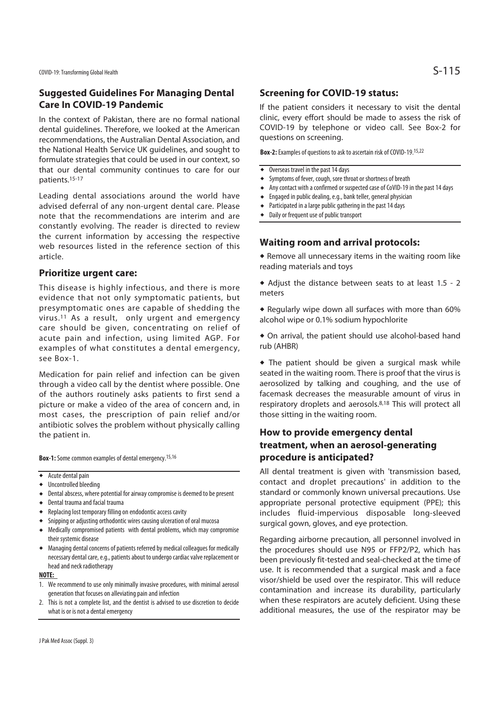# **Suggested Guidelines For Managing Dental Care In COVID-19 Pandemic**

In the context of Pakistan, there are no formal national dental guidelines. Therefore, we looked at the American recommendations, the Australian Dental Association, and the National Health Service UK guidelines, and sought to formulate strategies that could be used in our context, so that our dental community continues to care for our patients.15-17

Leading dental associations around the world have advised deferral of any non-urgent dental care. Please note that the recommendations are interim and are constantly evolving. The reader is directed to review the current information by accessing the respective web resources listed in the reference section of this article.

## **Prioritize urgent care:**

This disease is highly infectious, and there is more evidence that not only symptomatic patients, but presymptomatic ones are capable of shedding the virus.11 As a result, only urgent and emergency care should be given, concentrating on relief of acute pain and infection, using limited AGP. For examples of what constitutes a dental emergency, see Box-1.

Medication for pain relief and infection can be given through a video call by the dentist where possible. One of the authors routinely asks patients to first send a picture or make a video of the area of concern and, in most cases, the prescription of pain relief and/or antibiotic solves the problem without physically calling the patient in.

**Box-1:** Some common examples of dental emergency.15,16

### $\overline{\bullet}$  Acute dental pain

- $\bullet$  Uncontrolled bleeding
- Dental abscess, where potential for airway compromise is deemed to be present
- $\bullet$  Dental trauma and facial trauma
- $\triangleq$  Replacing lost temporary filling on endodontic access cavity
- $\bullet$  Snipping or adjusting orthodontic wires causing ulceration of oral mucosa
- Medically compromised patients with dental problems, which may compromise their systemic disease
- <sup>u</sup> Managing dental concerns of patients referred by medical colleagues for medically necessary dental care, e.g., patients about to undergo cardiac valve replacement or head and neck radiotherapy

### **NOTE:**

- 1. We recommend to use only minimally invasive procedures, with minimal aerosol generation that focuses on alleviating pain and infection
- 2. This is not a complete list, and the dentist is advised to use discretion to decide what is or is not a dental emergency

## **Screening for COVID-19 status:**

If the patient considers it necessary to visit the dental clinic, every effort should be made to assess the risk of COVID-19 by telephone or video call. See Box-2 for questions on screening.

**Box-2:** Examples of questions to ask to ascertain risk of COVID-19.15,22

- $\bullet$  Overseas travel in the past 14 days
- ◆ Symptoms of fever, cough, sore throat or shortness of breath
- Any contact with a confirmed or suspected case of CoVID-19 in the past 14 days
- $\bullet$  Engaged in public dealing, e.g., bank teller, general physician
- $\bullet$  Participated in a large public gathering in the past 14 days
- Daily or frequent use of public transport

## **Waiting room and arrival protocols:**

 $\triangle$  Remove all unnecessary items in the waiting room like reading materials and toys

 $\bullet$  Adjust the distance between seats to at least 1.5 - 2 meters

 $\bullet$  Regularly wipe down all surfaces with more than 60% alcohol wipe or 0.1% sodium hypochlorite

 $\bullet$  On arrival, the patient should use alcohol-based hand rub (AHBR)

 $\bullet$  The patient should be given a surgical mask while seated in the waiting room. There is proof that the virus is aerosolized by talking and coughing, and the use of facemask decreases the measurable amount of virus in respiratory droplets and aerosols.8,18 This will protect all those sitting in the waiting room.

# **How to provide emergency dental treatment, when an aerosol-generating procedure is anticipated?**

All dental treatment is given with 'transmission based, contact and droplet precautions' in addition to the standard or commonly known universal precautions. Use appropriate personal protective equipment (PPE); this includes fluid-impervious disposable long-sleeved surgical gown, gloves, and eye protection.

Regarding airborne precaution, all personnel involved in the procedures should use N95 or FFP2/P2, which has been previously fit-tested and seal-checked at the time of use. It is recommended that a surgical mask and a face visor/shield be used over the respirator. This will reduce contamination and increase its durability, particularly when these respirators are acutely deficient. Using these additional measures, the use of the respirator may be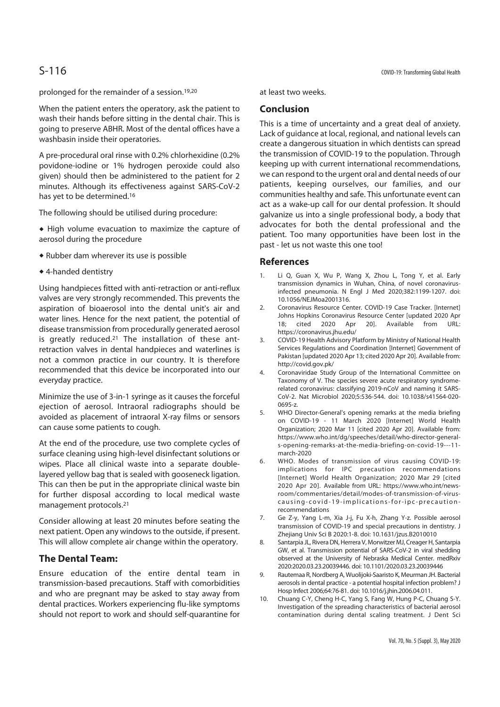prolonged for the remainder of a session.19,20

When the patient enters the operatory, ask the patient to wash their hands before sitting in the dental chair. This is going to preserve ABHR. Most of the dental offices have a washbasin inside their operatories.

A pre-procedural oral rinse with 0.2% chlorhexidine (0.2% povidone-iodine or 1% hydrogen peroxide could also given) should then be administered to the patient for 2 minutes. Although its effectiveness against SARS-CoV-2 has yet to be determined.16

The following should be utilised during procedure:

- $\bullet$  High volume evacuation to maximize the capture of aerosol during the procedure
- $\triangle$  Rubber dam wherever its use is possible
- $\triangle$  4-handed dentistry

Using handpieces fitted with anti-retraction or anti-reflux valves are very strongly recommended. This prevents the aspiration of bioaerosol into the dental unit's air and water lines. Hence for the next patient, the potential of disease transmission from procedurally generated aerosol is greatly reduced.21 The installation of these antretraction valves in dental handpieces and waterlines is not a common practice in our country. It is therefore recommended that this device be incorporated into our everyday practice.

Minimize the use of 3-in-1 syringe as it causes the forceful ejection of aerosol. Intraoral radiographs should be avoided as placement of intraoral X-ray films or sensors can cause some patients to cough.

At the end of the procedure, use two complete cycles of surface cleaning using high-level disinfectant solutions or wipes. Place all clinical waste into a separate doublelayered yellow bag that is sealed with gooseneck ligation. This can then be put in the appropriate clinical waste bin for further disposal according to local medical waste management protocols.21

Consider allowing at least 20 minutes before seating the next patient. Open any windows to the outside, if present. This will allow complete air change within the operatory.

# **The Dental Team:**

Ensure education of the entire dental team in transmission-based precautions. Staff with comorbidities and who are pregnant may be asked to stay away from dental practices. Workers experiencing flu-like symptoms should not report to work and should self-quarantine for

at least two weeks.

# **Conclusion**

This is a time of uncertainty and a great deal of anxiety. Lack of guidance at local, regional, and national levels can create a dangerous situation in which dentists can spread the transmission of COVID-19 to the population. Through keeping up with current international recommendations, we can respond to the urgent oral and dental needs of our patients, keeping ourselves, our families, and our communities healthy and safe. This unfortunate event can act as a wake-up call for our dental profession. It should galvanize us into a single professional body, a body that advocates for both the dental professional and the patient. Too many opportunities have been lost in the past - let us not waste this one too!

## **References**

- 1. Li Q, Guan X, Wu P, Wang X, Zhou L, Tong Y, et al. Early transmission dynamics in Wuhan, China, of novel coronavirusinfected pneumonia. N Engl J Med 2020;382:1199-1207. doi: 10.1056/NEJMoa2001316.
- 2. Coronavirus Resource Center. COVID-19 Case Tracker. [Internet] Johns Hopkins Coronavirus Resource Center [updated 2020 Apr 18; cited 2020 Apr 20]. Available from URL: https://coronavirus.jhu.edu/
- 3. COVID-19 Health Advisory Platform by Ministry of National Health Services Regulations and Coordination [Internet] Government of Pakistan [updated 2020 Apr 13; cited 2020 Apr 20]. Available from: http://covid.gov.pk/
- 4. Coronaviridae Study Group of the International Committee on Taxonomy of V. The species severe acute respiratory syndromerelated coronavirus: classifying 2019-nCoV and naming it SARS-CoV-2. Nat Microbiol 2020;5:536-544. doi: 10.1038/s41564-020- 0695-z.
- 5. WHO Director-General's opening remarks at the media briefing on COVID-19 - 11 March 2020 [Internet] World Health Organization; 2020 Mar 11 [cited 2020 Apr 20]. Available from: https://www.who.int/dg/speeches/detail/who-director-generals-opening-remarks-at-the-media-briefing-on-covid-19---11 march-2020
- 6. WHO. Modes of transmission of virus causing COVID-19: implications for IPC precaution recommendations [Internet] World Health Organization; 2020 Mar 29 [cited 2020 Apr 20]. Available from URL: https://www.who.int/newsroom/commentaries/detail/modes-of-transmission-of-viruscausing-covid-19-implications-for-ipc-precautionrecommendations
- 7. Ge Z-y, Yang L-m, Xia J-j, Fu X-h, Zhang Y-z. Possible aerosol transmission of COVID-19 and special precautions in dentistry. J Zhejiang Univ Sci B 2020:1-8. doi: 10.1631/jzus.B2010010
- 8. Santarpia JL, Rivera DN, Herrera V, Morwitzer MJ, Creager H, Santarpia GW, et al. Transmission potential of SARS-CoV-2 in viral shedding observed at the University of Nebraska Medical Center. medRxiv 2020:2020.03.23.20039446. doi: 10.1101/2020.03.23.20039446
- 9. Rautemaa R, Nordberg A, Wuolijoki-Saaristo K, Meurman JH. Bacterial aerosols in dental practice - a potential hospital infection problem? J Hosp Infect 2006;64:76-81. doi: 10.1016/j.jhin.2006.04.011.
- 10. Chuang C-Y, Cheng H-C, Yang S, Fang W, Hung P-C, Chuang S-Y. Investigation of the spreading characteristics of bacterial aerosol contamination during dental scaling treatment. J Dent Sci